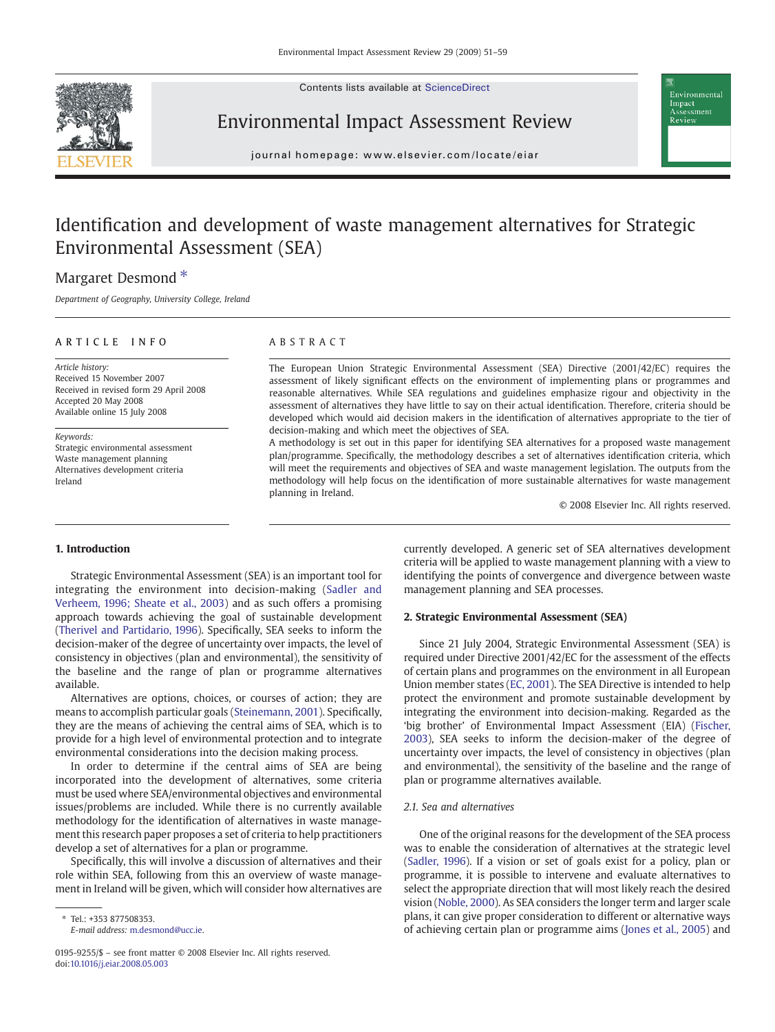Contents lists available at ScienceDirect



Environmental Impact Assessment

## Environmental Impact Assessment Review

journal homepage: www.elsevier.com/locate/eiar

# Identification and development of waste management alternatives for Strategic Environmental Assessment (SEA)

### Margaret Desmond<sup>\*</sup>

Department of Geography, University College, Ireland

### ARTICLE INFO ABSTRACT

Article history: Received 15 November 2007 Received in revised form 29 April 2008 Accepted 20 May 2008 Available online 15 July 2008

Keywords: Strategic environmental assessment Waste management planning Alternatives development criteria Ireland

The European Union Strategic Environmental Assessment (SEA) Directive (2001/42/EC) requires the assessment of likely significant effects on the environment of implementing plans or programmes and reasonable alternatives. While SEA regulations and guidelines emphasize rigour and objectivity in the assessment of alternatives they have little to say on their actual identification. Therefore, criteria should be developed which would aid decision makers in the identification of alternatives appropriate to the tier of decision-making and which meet the objectives of SEA.

A methodology is set out in this paper for identifying SEA alternatives for a proposed waste management plan/programme. Specifically, the methodology describes a set of alternatives identification criteria, which will meet the requirements and objectives of SEA and waste management legislation. The outputs from the methodology will help focus on the identification of more sustainable alternatives for waste management planning in Ireland.

© 2008 Elsevier Inc. All rights reserved.

#### 1. Introduction

Strategic Environmental Assessment (SEA) is an important tool for integrating the environment into decision-making ([Sadler and](#page--1-0) [Verheem, 1996; Sheate et al., 2003\)](#page--1-0) and as such offers a promising approach towards achieving the goal of sustainable development [\(Therivel and Partidario, 1996\)](#page--1-0). Specifically, SEA seeks to inform the decision-maker of the degree of uncertainty over impacts, the level of consistency in objectives (plan and environmental), the sensitivity of the baseline and the range of plan or programme alternatives available.

Alternatives are options, choices, or courses of action; they are means to accomplish particular goals [\(Steinemann, 2001](#page--1-0)). Specifically, they are the means of achieving the central aims of SEA, which is to provide for a high level of environmental protection and to integrate environmental considerations into the decision making process.

In order to determine if the central aims of SEA are being incorporated into the development of alternatives, some criteria must be used where SEA/environmental objectives and environmental issues/problems are included. While there is no currently available methodology for the identification of alternatives in waste management this research paper proposes a set of criteria to help practitioners develop a set of alternatives for a plan or programme.

Specifically, this will involve a discussion of alternatives and their role within SEA, following from this an overview of waste management in Ireland will be given, which will consider how alternatives are

⁎ Tel.: +353 877508353. E-mail address: [m.desmond@ucc.ie](mailto:m.desmond@ucc.ie).

0195-9255/\$ – see front matter © 2008 Elsevier Inc. All rights reserved. doi:[10.1016/j.eiar.2008.05.003](http://dx.doi.org/10.1016/j.eiar.2008.05.003)

currently developed. A generic set of SEA alternatives development criteria will be applied to waste management planning with a view to identifying the points of convergence and divergence between waste management planning and SEA processes.

#### 2. Strategic Environmental Assessment (SEA)

Since 21 July 2004, Strategic Environmental Assessment (SEA) is required under Directive 2001/42/EC for the assessment of the effects of certain plans and programmes on the environment in all European Union member states [\(EC, 2001](#page--1-0)). The SEA Directive is intended to help protect the environment and promote sustainable development by integrating the environment into decision-making. Regarded as the 'big brother' of Environmental Impact Assessment (EIA) [\(Fischer,](#page--1-0) [2003\)](#page--1-0), SEA seeks to inform the decision-maker of the degree of uncertainty over impacts, the level of consistency in objectives (plan and environmental), the sensitivity of the baseline and the range of plan or programme alternatives available.

#### 2.1. Sea and alternatives

One of the original reasons for the development of the SEA process was to enable the consideration of alternatives at the strategic level [\(Sadler, 1996](#page--1-0)). If a vision or set of goals exist for a policy, plan or programme, it is possible to intervene and evaluate alternatives to select the appropriate direction that will most likely reach the desired vision ([Noble, 2000](#page--1-0)). As SEA considers the longer term and larger scale plans, it can give proper consideration to different or alternative ways of achieving certain plan or programme aims ([Jones et al., 2005\)](#page--1-0) and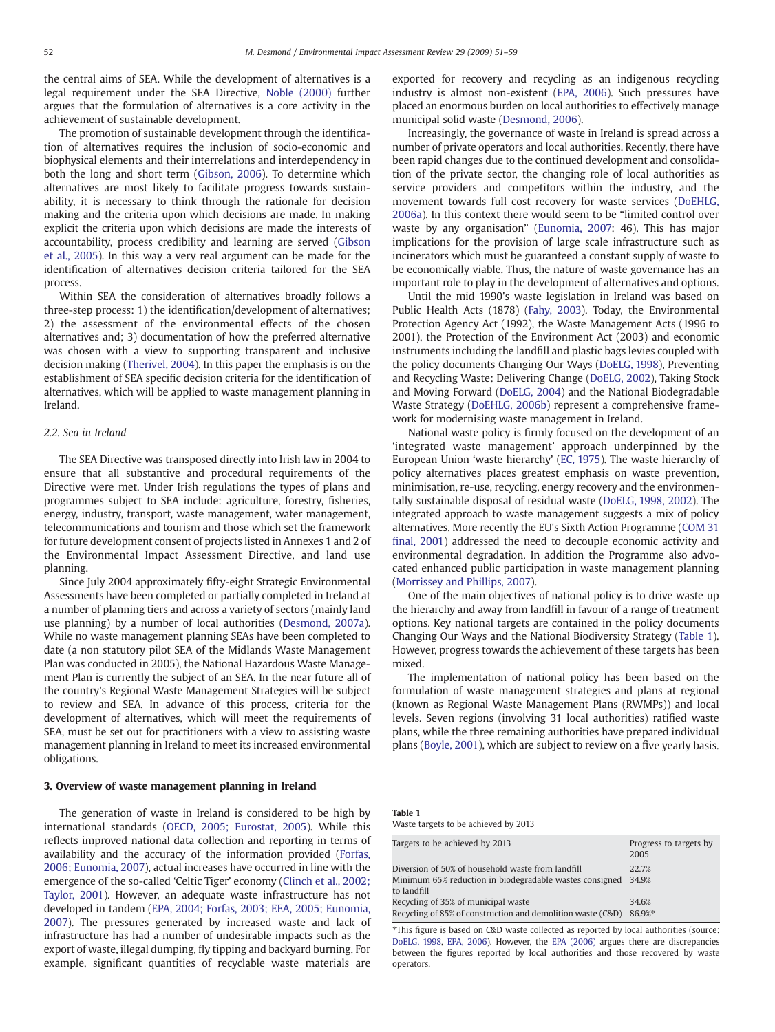the central aims of SEA. While the development of alternatives is a legal requirement under the SEA Directive, [Noble \(2000\)](#page--1-0) further argues that the formulation of alternatives is a core activity in the achievement of sustainable development.

The promotion of sustainable development through the identification of alternatives requires the inclusion of socio-economic and biophysical elements and their interrelations and interdependency in both the long and short term [\(Gibson, 2006](#page--1-0)). To determine which alternatives are most likely to facilitate progress towards sustainability, it is necessary to think through the rationale for decision making and the criteria upon which decisions are made. In making explicit the criteria upon which decisions are made the interests of accountability, process credibility and learning are served ([Gibson](#page--1-0) [et al., 2005](#page--1-0)). In this way a very real argument can be made for the identification of alternatives decision criteria tailored for the SEA process.

Within SEA the consideration of alternatives broadly follows a three-step process: 1) the identification/development of alternatives; 2) the assessment of the environmental effects of the chosen alternatives and; 3) documentation of how the preferred alternative was chosen with a view to supporting transparent and inclusive decision making ([Therivel, 2004\)](#page--1-0). In this paper the emphasis is on the establishment of SEA specific decision criteria for the identification of alternatives, which will be applied to waste management planning in Ireland.

#### 2.2. Sea in Ireland

The SEA Directive was transposed directly into Irish law in 2004 to ensure that all substantive and procedural requirements of the Directive were met. Under Irish regulations the types of plans and programmes subject to SEA include: agriculture, forestry, fisheries, energy, industry, transport, waste management, water management, telecommunications and tourism and those which set the framework for future development consent of projects listed in Annexes 1 and 2 of the Environmental Impact Assessment Directive, and land use planning.

Since July 2004 approximately fifty-eight Strategic Environmental Assessments have been completed or partially completed in Ireland at a number of planning tiers and across a variety of sectors (mainly land use planning) by a number of local authorities ([Desmond, 2007a](#page--1-0)). While no waste management planning SEAs have been completed to date (a non statutory pilot SEA of the Midlands Waste Management Plan was conducted in 2005), the National Hazardous Waste Management Plan is currently the subject of an SEA. In the near future all of the country's Regional Waste Management Strategies will be subject to review and SEA. In advance of this process, criteria for the development of alternatives, which will meet the requirements of SEA, must be set out for practitioners with a view to assisting waste management planning in Ireland to meet its increased environmental obligations.

#### 3. Overview of waste management planning in Ireland

The generation of waste in Ireland is considered to be high by international standards [\(OECD, 2005; Eurostat, 2005\)](#page--1-0). While this reflects improved national data collection and reporting in terms of availability and the accuracy of the information provided [\(Forfas,](#page--1-0) [2006; Eunomia, 2007](#page--1-0)), actual increases have occurred in line with the emergence of the so-called 'Celtic Tiger' economy ([Clinch et al., 2002;](#page--1-0) [Taylor, 2001\)](#page--1-0). However, an adequate waste infrastructure has not developed in tandem ([EPA, 2004; Forfas, 2003; EEA, 2005; Eunomia,](#page--1-0) [2007](#page--1-0)). The pressures generated by increased waste and lack of infrastructure has had a number of undesirable impacts such as the export of waste, illegal dumping, fly tipping and backyard burning. For example, significant quantities of recyclable waste materials are

exported for recovery and recycling as an indigenous recycling industry is almost non-existent [\(EPA, 2006\)](#page--1-0). Such pressures have placed an enormous burden on local authorities to effectively manage municipal solid waste [\(Desmond, 2006\)](#page--1-0).

Increasingly, the governance of waste in Ireland is spread across a number of private operators and local authorities. Recently, there have been rapid changes due to the continued development and consolidation of the private sector, the changing role of local authorities as service providers and competitors within the industry, and the movement towards full cost recovery for waste services [\(DoEHLG,](#page--1-0) [2006a](#page--1-0)). In this context there would seem to be "limited control over waste by any organisation" ([Eunomia, 2007:](#page--1-0) 46). This has major implications for the provision of large scale infrastructure such as incinerators which must be guaranteed a constant supply of waste to be economically viable. Thus, the nature of waste governance has an important role to play in the development of alternatives and options.

Until the mid 1990's waste legislation in Ireland was based on Public Health Acts (1878) [\(Fahy, 2003\)](#page--1-0). Today, the Environmental Protection Agency Act (1992), the Waste Management Acts (1996 to 2001), the Protection of the Environment Act (2003) and economic instruments including the landfill and plastic bags levies coupled with the policy documents Changing Our Ways ([DoELG, 1998](#page--1-0)), Preventing and Recycling Waste: Delivering Change [\(DoELG, 2002](#page--1-0)), Taking Stock and Moving Forward [\(DoELG, 2004](#page--1-0)) and the National Biodegradable Waste Strategy [\(DoEHLG, 2006b](#page--1-0)) represent a comprehensive framework for modernising waste management in Ireland.

National waste policy is firmly focused on the development of an 'integrated waste management' approach underpinned by the European Union 'waste hierarchy' ([EC, 1975\)](#page--1-0). The waste hierarchy of policy alternatives places greatest emphasis on waste prevention, minimisation, re-use, recycling, energy recovery and the environmentally sustainable disposal of residual waste ([DoELG, 1998, 2002](#page--1-0)). The integrated approach to waste management suggests a mix of policy alternatives. More recently the EU's Sixth Action Programme [\(COM 31](#page--1-0) fi[nal, 2001](#page--1-0)) addressed the need to decouple economic activity and environmental degradation. In addition the Programme also advocated enhanced public participation in waste management planning ([Morrissey and Phillips, 2007](#page--1-0)).

One of the main objectives of national policy is to drive waste up the hierarchy and away from landfill in favour of a range of treatment options. Key national targets are contained in the policy documents Changing Our Ways and the National Biodiversity Strategy (Table 1). However, progress towards the achievement of these targets has been mixed.

The implementation of national policy has been based on the formulation of waste management strategies and plans at regional (known as Regional Waste Management Plans (RWMPs)) and local levels. Seven regions (involving 31 local authorities) ratified waste plans, while the three remaining authorities have prepared individual plans ([Boyle, 2001\)](#page--1-0), which are subject to review on a five yearly basis.

Table 1 Waste targets to be achieved by 2013

| Targets to be achieved by 2013                              | Progress to targets by<br>2005 |
|-------------------------------------------------------------|--------------------------------|
| Diversion of 50% of household waste from landfill           | 22.7%                          |
| Minimum 65% reduction in biodegradable wastes consigned     | 34.9%                          |
| to landfill                                                 |                                |
| Recycling of 35% of municipal waste                         | 34.6%                          |
| Recycling of 85% of construction and demolition waste (C&D) | 86.9%*                         |

⁎This figure is based on C&D waste collected as reported by local authorities (source: [DoELG, 1998](#page--1-0), [EPA, 2006](#page--1-0)). However, the [EPA \(2006\)](#page--1-0) argues there are discrepancies between the figures reported by local authorities and those recovered by waste operators.